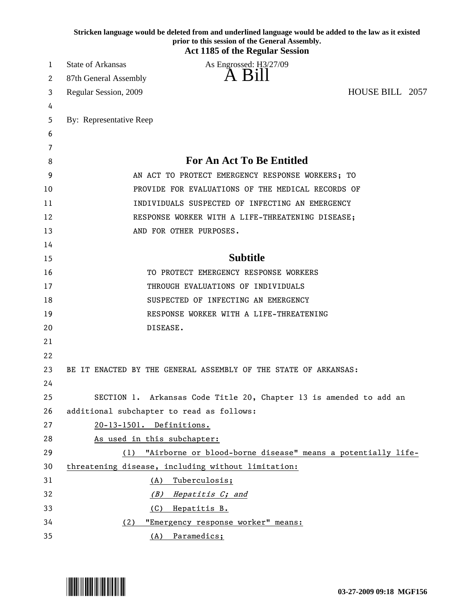|    | Stricken language would be deleted from and underlined language would be added to the law as it existed<br>prior to this session of the General Assembly.<br><b>Act 1185 of the Regular Session</b> |
|----|-----------------------------------------------------------------------------------------------------------------------------------------------------------------------------------------------------|
| 1  | <b>State of Arkansas</b><br>As Engrossed: H3/27/09                                                                                                                                                  |
| 2  | A Bill<br>87th General Assembly                                                                                                                                                                     |
| 3  | HOUSE BILL 2057<br>Regular Session, 2009                                                                                                                                                            |
| 4  |                                                                                                                                                                                                     |
| 5  | By: Representative Reep                                                                                                                                                                             |
| 6  |                                                                                                                                                                                                     |
| 7  |                                                                                                                                                                                                     |
| 8  | <b>For An Act To Be Entitled</b>                                                                                                                                                                    |
| 9  | AN ACT TO PROTECT EMERGENCY RESPONSE WORKERS; TO                                                                                                                                                    |
| 10 | PROVIDE FOR EVALUATIONS OF THE MEDICAL RECORDS OF                                                                                                                                                   |
| 11 | INDIVIDUALS SUSPECTED OF INFECTING AN EMERGENCY                                                                                                                                                     |
| 12 | RESPONSE WORKER WITH A LIFE-THREATENING DISEASE;                                                                                                                                                    |
| 13 | AND FOR OTHER PURPOSES.                                                                                                                                                                             |
| 14 |                                                                                                                                                                                                     |
| 15 | <b>Subtitle</b>                                                                                                                                                                                     |
| 16 | TO PROTECT EMERGENCY RESPONSE WORKERS                                                                                                                                                               |
| 17 | THROUGH EVALUATIONS OF INDIVIDUALS                                                                                                                                                                  |
| 18 | SUSPECTED OF INFECTING AN EMERGENCY                                                                                                                                                                 |
| 19 | RESPONSE WORKER WITH A LIFE-THREATENING                                                                                                                                                             |
| 20 | DISEASE.                                                                                                                                                                                            |
| 21 |                                                                                                                                                                                                     |
| 22 |                                                                                                                                                                                                     |
| 23 | BE IT ENACTED BY THE GENERAL ASSEMBLY OF THE STATE OF ARKANSAS:                                                                                                                                     |
| 24 |                                                                                                                                                                                                     |
| 25 | SECTION 1. Arkansas Code Title 20, Chapter 13 is amended to add an                                                                                                                                  |
| 26 | additional subchapter to read as follows:                                                                                                                                                           |
| 27 | 20-13-1501. Definitions.                                                                                                                                                                            |
| 28 | As used in this subchapter:                                                                                                                                                                         |
| 29 | "Airborne or blood-borne disease" means a potentially life-<br>(1)                                                                                                                                  |
| 30 | threatening disease, including without limitation:                                                                                                                                                  |
| 31 | Tuberculosis;<br>(A)                                                                                                                                                                                |
| 32 | (B) Hepatitis C; and                                                                                                                                                                                |
| 33 | (C) Hepatitis B.                                                                                                                                                                                    |
| 34 | "Emergency response worker" means:<br>(2)                                                                                                                                                           |
| 35 | (A) Paramedics;                                                                                                                                                                                     |